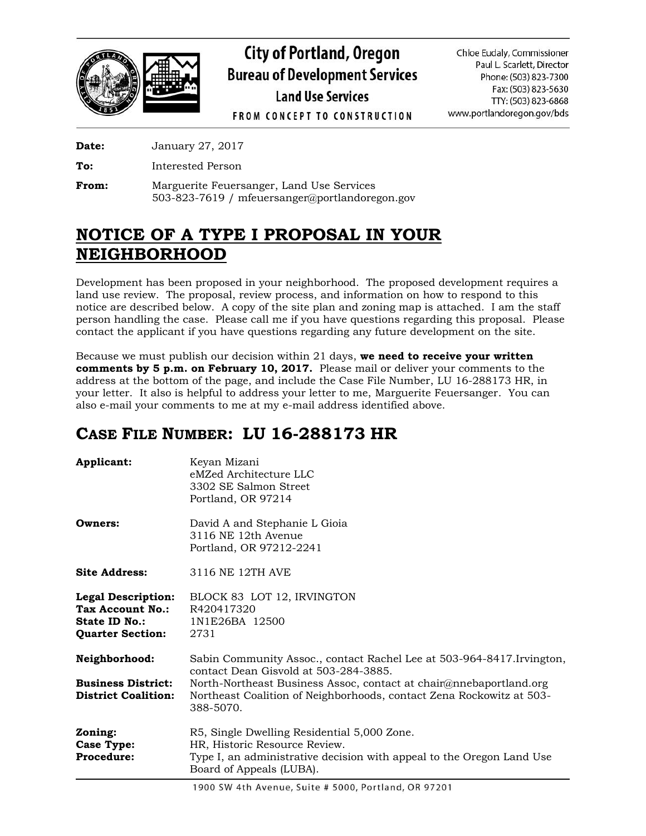

# **City of Portland, Oregon Bureau of Development Services Land Use Services**

Chloe Eudaly, Commissioner Paul L. Scarlett, Director Phone: (503) 823-7300 Fax: (503) 823-5630 TTY: (503) 823-6868 www.portlandoregon.gov/bds

**FROM CONCEPT TO CONSTRUCTION** 

**Date:** January 27, 2017

**To:** Interested Person

**From:** Marguerite Feuersanger, Land Use Services 503-823-7619 / mfeuersanger@portlandoregon.gov

# **NOTICE OF A TYPE I PROPOSAL IN YOUR NEIGHBORHOOD**

Development has been proposed in your neighborhood. The proposed development requires a land use review. The proposal, review process, and information on how to respond to this notice are described below. A copy of the site plan and zoning map is attached. I am the staff person handling the case. Please call me if you have questions regarding this proposal. Please contact the applicant if you have questions regarding any future development on the site.

Because we must publish our decision within 21 days, **we need to receive your written comments by 5 p.m. on February 10, 2017.** Please mail or deliver your comments to the address at the bottom of the page, and include the Case File Number, LU 16-288173 HR, in your letter. It also is helpful to address your letter to me, Marguerite Feuersanger. You can also e-mail your comments to me at my e-mail address identified above.

## **CASE FILE NUMBER: LU 16-288173 HR**

| Applicant:                                                                                              | Keyan Mizani<br>eMZed Architecture LLC<br>3302 SE Salmon Street<br>Portland, OR 97214                                                                                                                                                                                      |
|---------------------------------------------------------------------------------------------------------|----------------------------------------------------------------------------------------------------------------------------------------------------------------------------------------------------------------------------------------------------------------------------|
| Owners:                                                                                                 | David A and Stephanie L Gioia<br>3116 NE 12th Avenue<br>Portland, OR 97212-2241                                                                                                                                                                                            |
| <b>Site Address:</b>                                                                                    | 3116 NE 12TH AVE                                                                                                                                                                                                                                                           |
| <b>Legal Description:</b><br><b>Tax Account No.:</b><br><b>State ID No.:</b><br><b>Quarter Section:</b> | BLOCK 83 LOT 12, IRVINGTON<br>R420417320<br>1N1E26BA 12500<br>2731                                                                                                                                                                                                         |
| Neighborhood:<br><b>Business District:</b><br><b>District Coalition:</b>                                | Sabin Community Assoc., contact Rachel Lee at 503-964-8417. Irvington,<br>contact Dean Gisvold at 503-284-3885.<br>North-Northeast Business Assoc, contact at chair@nnebaportland.org<br>Northeast Coalition of Neighborhoods, contact Zena Rockowitz at 503-<br>388-5070. |
| Zoning:<br><b>Case Type:</b><br><b>Procedure:</b>                                                       | R5, Single Dwelling Residential 5,000 Zone.<br>HR, Historic Resource Review.<br>Type I, an administrative decision with appeal to the Oregon Land Use<br>Board of Appeals (LUBA).                                                                                          |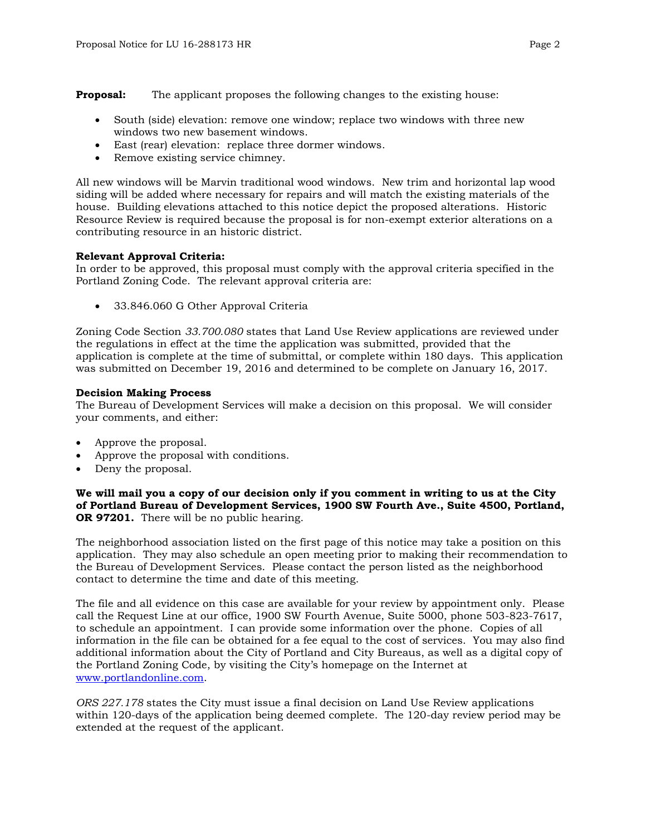**Proposal:** The applicant proposes the following changes to the existing house:

- South (side) elevation: remove one window; replace two windows with three new windows two new basement windows.
- East (rear) elevation: replace three dormer windows.
- Remove existing service chimney.

All new windows will be Marvin traditional wood windows. New trim and horizontal lap wood siding will be added where necessary for repairs and will match the existing materials of the house. Building elevations attached to this notice depict the proposed alterations. Historic Resource Review is required because the proposal is for non-exempt exterior alterations on a contributing resource in an historic district.

### **Relevant Approval Criteria:**

In order to be approved, this proposal must comply with the approval criteria specified in the Portland Zoning Code. The relevant approval criteria are:

33.846.060 G Other Approval Criteria

Zoning Code Section *33.700.080* states that Land Use Review applications are reviewed under the regulations in effect at the time the application was submitted, provided that the application is complete at the time of submittal, or complete within 180 days. This application was submitted on December 19, 2016 and determined to be complete on January 16, 2017.

### **Decision Making Process**

The Bureau of Development Services will make a decision on this proposal. We will consider your comments, and either:

- Approve the proposal.
- Approve the proposal with conditions.
- Deny the proposal.

**We will mail you a copy of our decision only if you comment in writing to us at the City of Portland Bureau of Development Services, 1900 SW Fourth Ave., Suite 4500, Portland, OR 97201.** There will be no public hearing.

The neighborhood association listed on the first page of this notice may take a position on this application. They may also schedule an open meeting prior to making their recommendation to the Bureau of Development Services. Please contact the person listed as the neighborhood contact to determine the time and date of this meeting.

The file and all evidence on this case are available for your review by appointment only. Please call the Request Line at our office, 1900 SW Fourth Avenue, Suite 5000, phone 503-823-7617, to schedule an appointment. I can provide some information over the phone. Copies of all information in the file can be obtained for a fee equal to the cost of services. You may also find additional information about the City of Portland and City Bureaus, as well as a digital copy of the Portland Zoning Code, by visiting the City's homepage on the Internet at [www.portlandonline.com.](http://www.portlandonline.com/)

*ORS 227.178* states the City must issue a final decision on Land Use Review applications within 120-days of the application being deemed complete. The 120-day review period may be extended at the request of the applicant.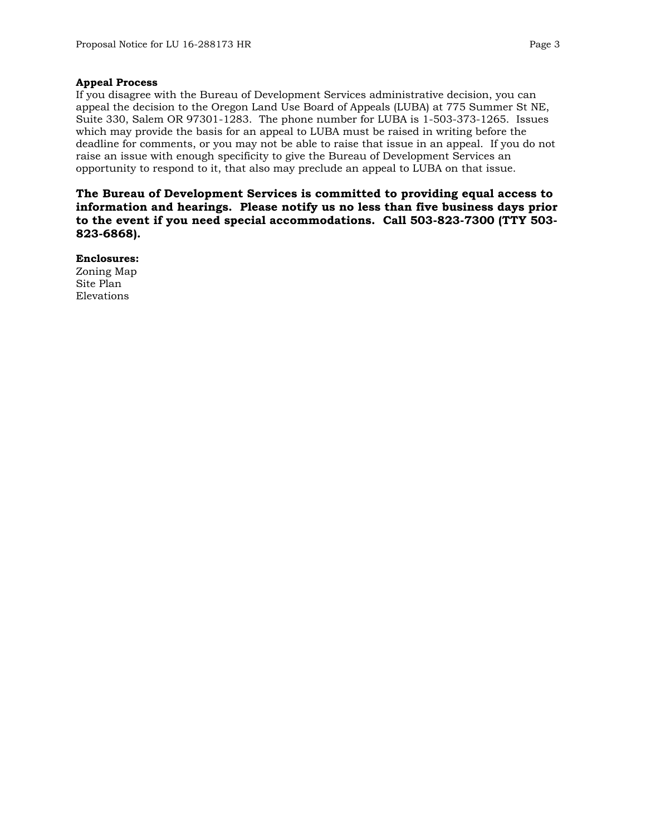### **Appeal Process**

If you disagree with the Bureau of Development Services administrative decision, you can appeal the decision to the Oregon Land Use Board of Appeals (LUBA) at 775 Summer St NE, Suite 330, Salem OR 97301-1283. The phone number for LUBA is 1-503-373-1265. Issues which may provide the basis for an appeal to LUBA must be raised in writing before the deadline for comments, or you may not be able to raise that issue in an appeal. If you do not raise an issue with enough specificity to give the Bureau of Development Services an opportunity to respond to it, that also may preclude an appeal to LUBA on that issue.

**The Bureau of Development Services is committed to providing equal access to information and hearings. Please notify us no less than five business days prior to the event if you need special accommodations. Call 503-823-7300 (TTY 503- 823-6868).**

**Enclosures:** Zoning Map Site Plan Elevations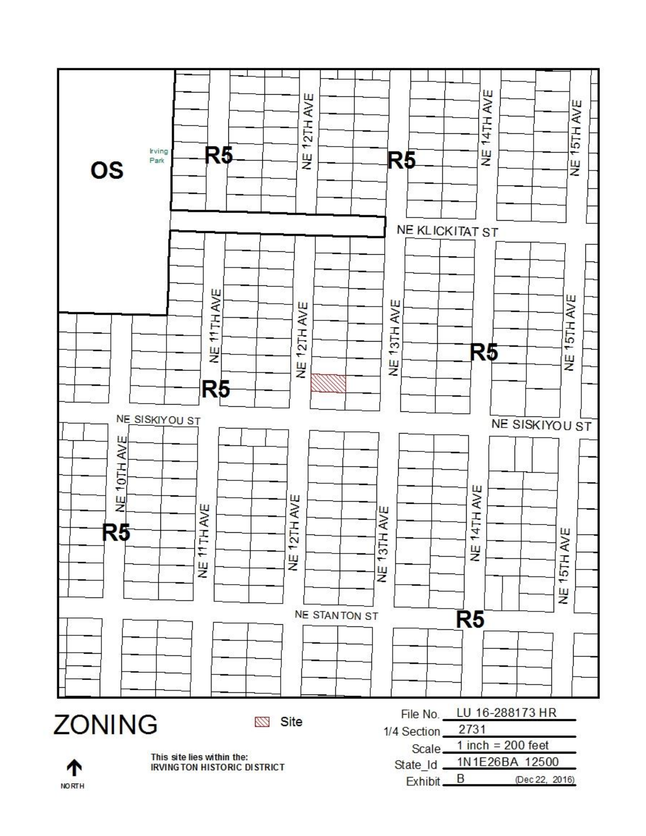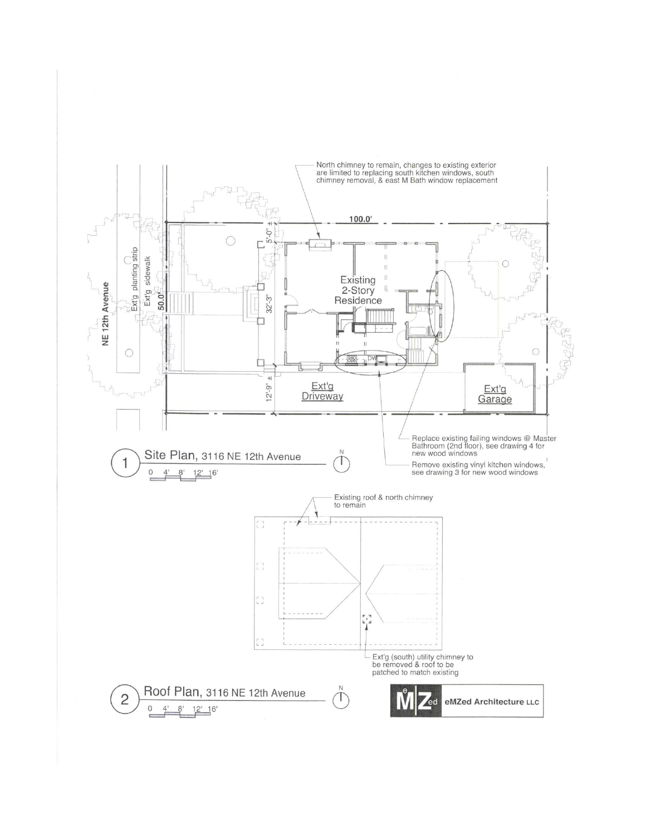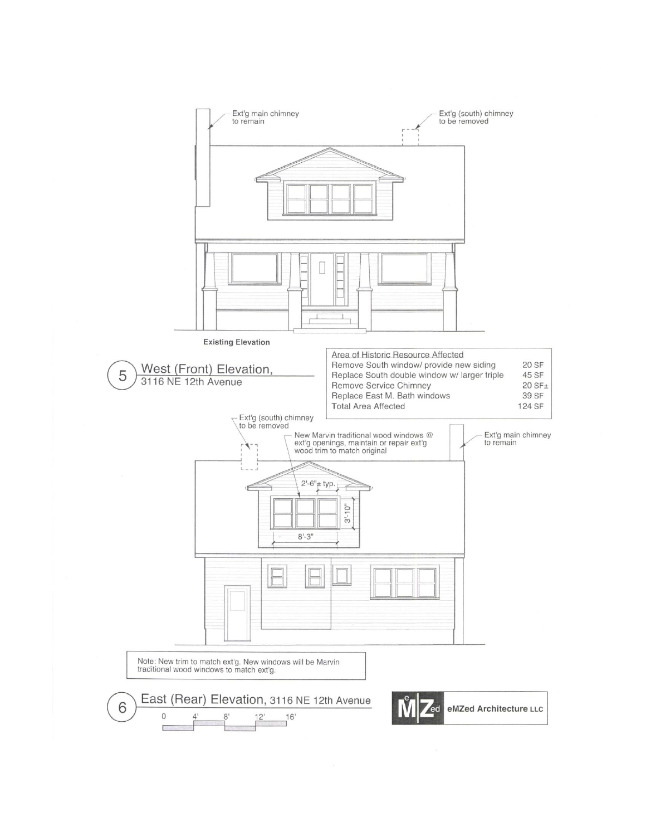